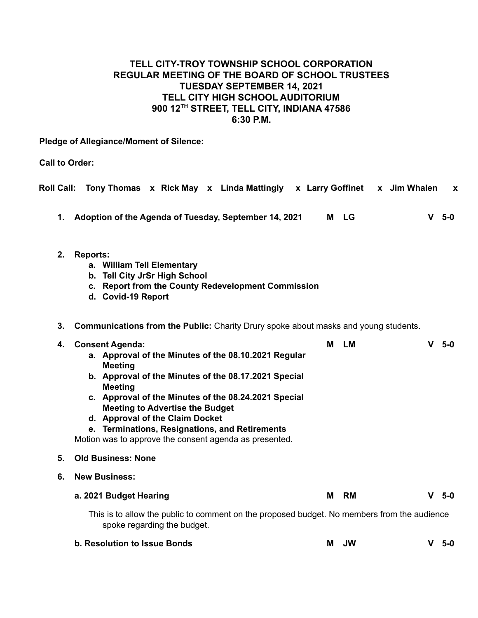# **TELL CITY-TROY TOWNSHIP SCHOOL CORPORATION REGULAR MEETING OF THE BOARD OF SCHOOL TRUSTEES TUESDAY SEPTEMBER 14, 2021 TELL CITY HIGH SCHOOL AUDITORIUM 900 12TH STREET, TELL CITY, INDIANA 47586 6:30 P.M.**

**Pledge of Allegiance/Moment of Silence:**

**Call to Order:**

| <b>Roll Call:</b> | Tony Thomas x Rick May x Linda Mattingly x Larry Goffinet x Jim Whalen                                                                                                                                                                                                                                                                                                                                                      |   |           |  |  |   | $\boldsymbol{\mathsf{x}}$ |
|-------------------|-----------------------------------------------------------------------------------------------------------------------------------------------------------------------------------------------------------------------------------------------------------------------------------------------------------------------------------------------------------------------------------------------------------------------------|---|-----------|--|--|---|---------------------------|
| 1.                | Adoption of the Agenda of Tuesday, September 14, 2021                                                                                                                                                                                                                                                                                                                                                                       |   | M LG      |  |  | v | 5-0                       |
| 2.                | <b>Reports:</b><br>a. William Tell Elementary<br>b. Tell City JrSr High School<br>c. Report from the County Redevelopment Commission<br>d. Covid-19 Report                                                                                                                                                                                                                                                                  |   |           |  |  |   |                           |
| 3.                | <b>Communications from the Public:</b> Charity Drury spoke about masks and young students.                                                                                                                                                                                                                                                                                                                                  |   |           |  |  |   |                           |
| 4.                | <b>Consent Agenda:</b><br>a. Approval of the Minutes of the 08.10.2021 Regular<br><b>Meeting</b><br>b. Approval of the Minutes of the 08.17.2021 Special<br><b>Meeting</b><br>c. Approval of the Minutes of the 08.24.2021 Special<br><b>Meeting to Advertise the Budget</b><br>d. Approval of the Claim Docket<br>e. Terminations, Resignations, and Retirements<br>Motion was to approve the consent agenda as presented. | М | LM        |  |  | v | 5-0                       |
| 5.                | <b>Old Business: None</b>                                                                                                                                                                                                                                                                                                                                                                                                   |   |           |  |  |   |                           |
| 6.                | <b>New Business:</b>                                                                                                                                                                                                                                                                                                                                                                                                        |   |           |  |  |   |                           |
|                   | a. 2021 Budget Hearing                                                                                                                                                                                                                                                                                                                                                                                                      | М | <b>RM</b> |  |  |   | $V$ 5-0                   |
|                   | This is to allow the public to comment on the proposed budget. No members from the audience<br>spoke regarding the budget.                                                                                                                                                                                                                                                                                                  |   |           |  |  |   |                           |
|                   | b. Resolution to Issue Bonds                                                                                                                                                                                                                                                                                                                                                                                                | М | <b>JW</b> |  |  |   | $V$ 5-0                   |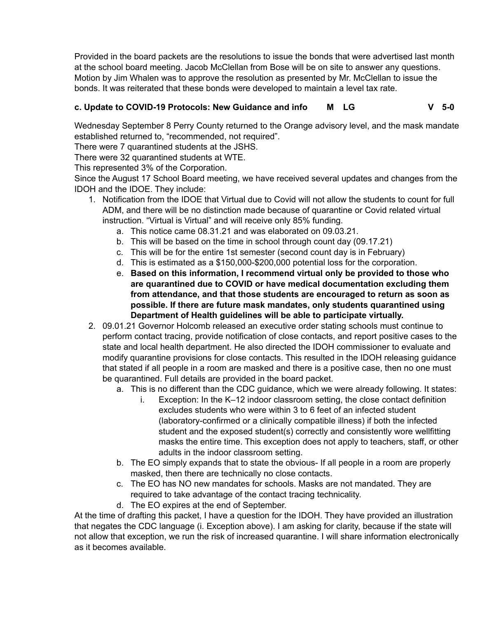Provided in the board packets are the resolutions to issue the bonds that were advertised last month at the school board meeting. Jacob McClellan from Bose will be on site to answer any questions. Motion by Jim Whalen was to approve the resolution as presented by Mr. McClellan to issue the bonds. It was reiterated that these bonds were developed to maintain a level tax rate.

# **c. Update to COVID-19 Protocols: New Guidance and info M LG V 5-0**

Wednesday September 8 Perry County returned to the Orange advisory level, and the mask mandate established returned to, "recommended, not required".

There were 7 quarantined students at the JSHS.

There were 32 quarantined students at WTE.

This represented 3% of the Corporation.

Since the August 17 School Board meeting, we have received several updates and changes from the IDOH and the IDOE. They include:

- 1. Notification from the IDOE that Virtual due to Covid will not allow the students to count for full ADM, and there will be no distinction made because of quarantine or Covid related virtual instruction. "Virtual is Virtual" and will receive only 85% funding.
	- a. This notice came 08.31.21 and was elaborated on 09.03.21.
	- b. This will be based on the time in school through count day (09.17.21)
	- c. This will be for the entire 1st semester (second count day is in February)
	- d. This is estimated as a \$150,000-\$200,000 potential loss for the corporation.
	- e. **Based on this information, I recommend virtual only be provided to those who are quarantined due to COVID or have medical documentation excluding them from attendance, and that those students are encouraged to return as soon as possible. If there are future mask mandates, only students quarantined using Department of Health guidelines will be able to participate virtually.**
- 2. 09.01.21 Governor Holcomb released an executive order stating schools must continue to perform contact tracing, provide notification of close contacts, and report positive cases to the state and local health department. He also directed the IDOH commissioner to evaluate and modify quarantine provisions for close contacts. This resulted in the IDOH releasing guidance that stated if all people in a room are masked and there is a positive case, then no one must be quarantined. Full details are provided in the board packet.
	- a. This is no different than the CDC guidance, which we were already following. It states:
		- i. Exception: In the K–12 indoor classroom setting, the close contact definition excludes students who were within 3 to 6 feet of an infected student (laboratory-confirmed or a clinically compatible illness) if both the infected student and the exposed student(s) correctly and consistently wore wellfitting masks the entire time. This exception does not apply to teachers, staff, or other adults in the indoor classroom setting.
	- b. The EO simply expands that to state the obvious- If all people in a room are properly masked, then there are technically no close contacts.
	- c. The EO has NO new mandates for schools. Masks are not mandated. They are required to take advantage of the contact tracing technicality.
	- d. The EO expires at the end of September.

At the time of drafting this packet, I have a question for the IDOH. They have provided an illustration that negates the CDC language (i. Exception above). I am asking for clarity, because if the state will not allow that exception, we run the risk of increased quarantine. I will share information electronically as it becomes available.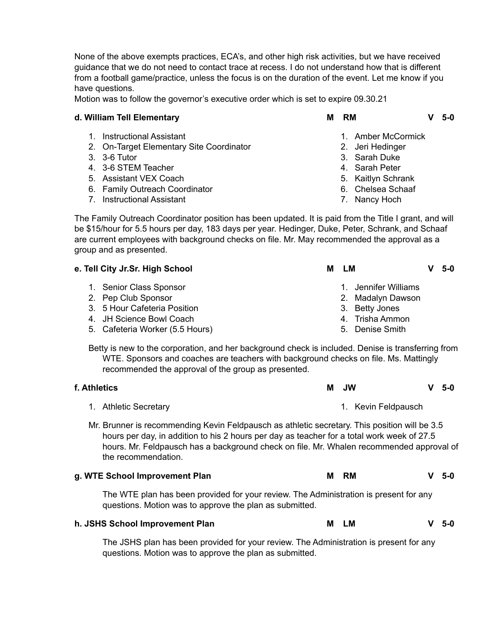None of the above exempts practices, ECA's, and other high risk activities, but we have received guidance that we do not need to contact trace at recess. I do not understand how that is different from a football game/practice, unless the focus is on the duration of the event. Let me know if you have questions.

Motion was to follow the governor's executive order which is set to expire 09.30.21

#### **d. William Tell Elementary M RM V 5-0**

- 1. Instructional Assistant
- 2. On-Target Elementary Site Coordinator
- 3. 3-6 Tutor
- 4. 3-6 STEM Teacher
- 5. Assistant VEX Coach
- 6. Family Outreach Coordinator
- 7. Instructional Assistant

- 
- 1. Amber McCormick
- 2. Jeri Hedinger
- 3. Sarah Duke
- 4. Sarah Peter
- 5. Kaitlyn Schrank
- 6. Chelsea Schaaf
- 7. Nancy Hoch

The Family Outreach Coordinator position has been updated. It is paid from the Title I grant, and will be \$15/hour for 5.5 hours per day, 183 days per year. Hedinger, Duke, Peter, Schrank, and Schaaf are current employees with background checks on file. Mr. May recommended the approval as a group and as presented.

| e. Tell City Jr.Sr. High School |                                 | LМ<br>M         |                      | - 5-0 |
|---------------------------------|---------------------------------|-----------------|----------------------|-------|
|                                 | 1. Senior Class Sponsor         |                 | 1. Jennifer Williams |       |
|                                 | 2. Pep Club Sponsor             |                 | 2. Madalyn Dawson    |       |
|                                 | 3. 5 Hour Cafeteria Position    | 3. Betty Jones  |                      |       |
|                                 | 4. JH Science Bowl Coach        | 4. Trisha Ammon |                      |       |
|                                 | 5. Cafeteria Worker (5.5 Hours) | 5. Denise Smith |                      |       |

Betty is new to the corporation, and her background check is included. Denise is transferring from WTE. Sponsors and coaches are teachers with background checks on file. Ms. Mattingly recommended the approval of the group as presented.

| f. Athletics<br>м                                                                                                                                                                                                                                                                                              |   | JW.                 |  | 5-0 |  |  |
|----------------------------------------------------------------------------------------------------------------------------------------------------------------------------------------------------------------------------------------------------------------------------------------------------------------|---|---------------------|--|-----|--|--|
| 1. Athletic Secretary                                                                                                                                                                                                                                                                                          |   | 1. Kevin Feldpausch |  |     |  |  |
| Mr. Brunner is recommending Kevin Feldpausch as athletic secretary. This position will be 3.5<br>hours per day, in addition to his 2 hours per day as teacher for a total work week of 27.5<br>hours. Mr. Feldpausch has a background check on file. Mr. Whalen recommended approval of<br>the recommendation. |   |                     |  |     |  |  |
| g. WTE School Improvement Plan                                                                                                                                                                                                                                                                                 | м | <b>RM</b>           |  | 5-0 |  |  |
| The WTE plan has been provided for your review. The Administration is present for any<br>questions. Motion was to approve the plan as submitted.                                                                                                                                                               |   |                     |  |     |  |  |

#### **h. JSHS School Improvement Plan M LM V 5-0**

The JSHS plan has been provided for your review. The Administration is present for any questions. Motion was to approve the plan as submitted.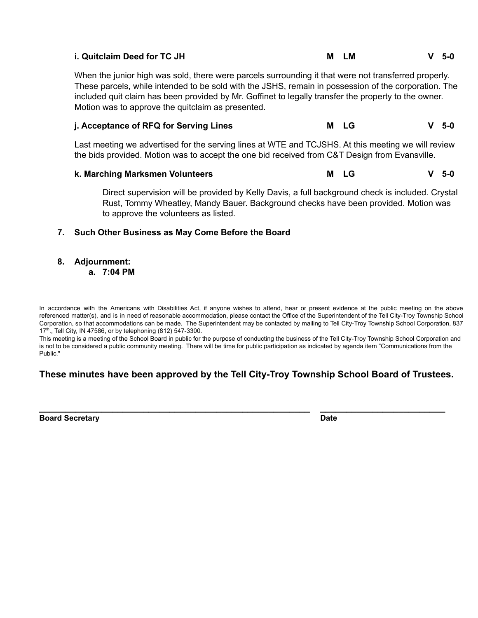| i. Quitclaim Deed for TC JH | LM. | $V$ 5-0 |
|-----------------------------|-----|---------|
|                             |     |         |

When the junior high was sold, there were parcels surrounding it that were not transferred properly. These parcels, while intended to be sold with the JSHS, remain in possession of the corporation. The included quit claim has been provided by Mr. Goffinet to legally transfer the property to the owner. Motion was to approve the quitclaim as presented.

### **j. Acceptance of RFQ for Serving Lines M LG V 5-0**

Last meeting we advertised for the serving lines at WTE and TCJSHS. At this meeting we will review the bids provided. Motion was to accept the one bid received from C&T Design from Evansville.

**k. Marching Marksmen Volunteers M LG V 5-0**

Direct supervision will be provided by Kelly Davis, a full background check is included. Crystal Rust, Tommy Wheatley, Mandy Bauer. Background checks have been provided. Motion was to approve the volunteers as listed.

#### **7. Such Other Business as May Come Before the Board**

**8. Adjournment:**

**a. 7:04 PM**

In accordance with the Americans with Disabilities Act, if anyone wishes to attend, hear or present evidence at the public meeting on the above referenced matter(s), and is in need of reasonable accommodation, please contact the Office of the Superintendent of the Tell City-Troy Township School Corporation, so that accommodations can be made. The Superintendent may be contacted by mailing to Tell City-Troy Township School Corporation, 837 17<sup>th</sup>., Tell City, IN 47586, or by telephoning (812) 547-3300.

This meeting is a meeting of the School Board in public for the purpose of conducting the business of the Tell City-Troy Township School Corporation and is not to be considered a public community meeting. There will be time for public participation as indicated by agenda item "Communications from the Public."

## **These minutes have been approved by the Tell City-Troy Township School Board of Trustees.**

**Board Secretary Date**

**\_\_\_\_\_\_\_\_\_\_\_\_\_\_\_\_\_\_\_\_\_\_\_\_\_\_\_\_\_\_\_\_\_\_\_\_\_\_\_\_\_\_\_\_\_\_\_\_\_\_\_\_ \_\_\_\_\_\_\_\_\_\_\_\_\_\_\_\_\_\_\_\_\_\_\_\_**